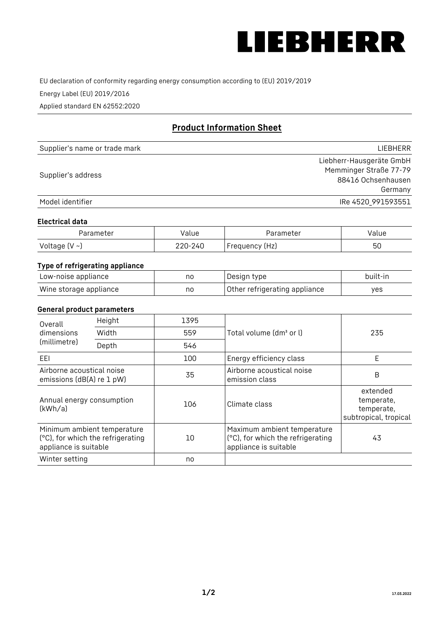

EU declaration of conformity regarding energy consumption according to (EU) 2019/2019

Energy Label (EU) 2019/2016

Applied standard EN 62552:2020

# **Product Information Sheet**

| Supplier's name or trade mark | <b>LIFBHFRR</b>          |
|-------------------------------|--------------------------|
|                               | Liebherr-Hausgeräte GmbH |
| Supplier's address            | Memminger Straße 77-79   |
|                               | 88416 Ochsenhausen       |
|                               | Germany                  |
| Model identifier              | IRe 4520 991593551       |

#### **Electrical data**

| Parameter     | Value   | Parameter      | Value |
|---------------|---------|----------------|-------|
| Voltage (V ~) | 220-240 | Frequency (Hz) | 50    |

## **Type of refrigerating appliance**

| Low-noise appliance    | no | Design type                   | built-in |
|------------------------|----|-------------------------------|----------|
| Wine storage appliance | no | Other refrigerating appliance | yes      |

#### **General product parameters**

| Height<br>Overall                                      |                                                                  | 1395 |                                                                                           |                                                               |
|--------------------------------------------------------|------------------------------------------------------------------|------|-------------------------------------------------------------------------------------------|---------------------------------------------------------------|
| Width<br>dimensions<br>(millimetre)<br>Depth           |                                                                  | 559  | Total volume (dm <sup>3</sup> or l)                                                       | 235                                                           |
|                                                        |                                                                  | 546  |                                                                                           |                                                               |
| EEL                                                    |                                                                  | 100  | Energy efficiency class                                                                   | E                                                             |
| Airborne acoustical noise<br>emissions (dB(A) re 1 pW) |                                                                  | 35   | Airborne acoustical noise<br>emission class                                               | B                                                             |
| Annual energy consumption<br>(kWh/a)                   |                                                                  | 106  | Climate class                                                                             | extended<br>temperate,<br>temperate,<br>subtropical, tropical |
| appliance is suitable                                  | Minimum ambient temperature<br>(°C), for which the refrigerating | 10   | Maximum ambient temperature<br>(°C), for which the refrigerating<br>appliance is suitable | 43                                                            |
| Winter setting                                         |                                                                  | no   |                                                                                           |                                                               |